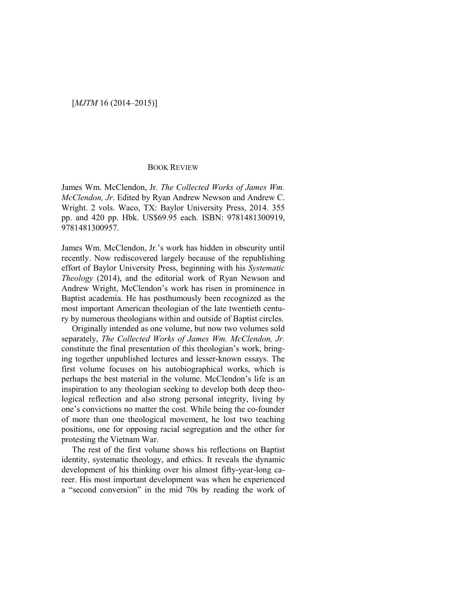## BOOK REVIEW

James Wm. McClendon, Jr. *The Collected Works of James Wm. McClendon, Jr*. Edited by Ryan Andrew Newson and Andrew C. Wright. 2 vols. Waco, TX: Baylor University Press, 2014. 355 pp. and 420 pp. Hbk. US\$69.95 each. ISBN: 9781481300919, 9781481300957.

James Wm. McClendon, Jr.'s work has hidden in obscurity until recently. Now rediscovered largely because of the republishing effort of Baylor University Press, beginning with his *Systematic Theology* (2014), and the editorial work of Ryan Newson and Andrew Wright, McClendon's work has risen in prominence in Baptist academia. He has posthumously been recognized as the most important American theologian of the late twentieth century by numerous theologians within and outside of Baptist circles.

Originally intended as one volume, but now two volumes sold separately, *The Collected Works of James Wm. McClendon, Jr.*  constitute the final presentation of this theologian's work, bringing together unpublished lectures and lesser-known essays. The first volume focuses on his autobiographical works, which is perhaps the best material in the volume. McClendon's life is an inspiration to any theologian seeking to develop both deep theological reflection and also strong personal integrity, living by one's convictions no matter the cost. While being the co-founder of more than one theological movement, he lost two teaching positions, one for opposing racial segregation and the other for protesting the Vietnam War.

The rest of the first volume shows his reflections on Baptist identity, systematic theology, and ethics. It reveals the dynamic development of his thinking over his almost fifty-year-long career. His most important development was when he experienced a "second conversion" in the mid 70s by reading the work of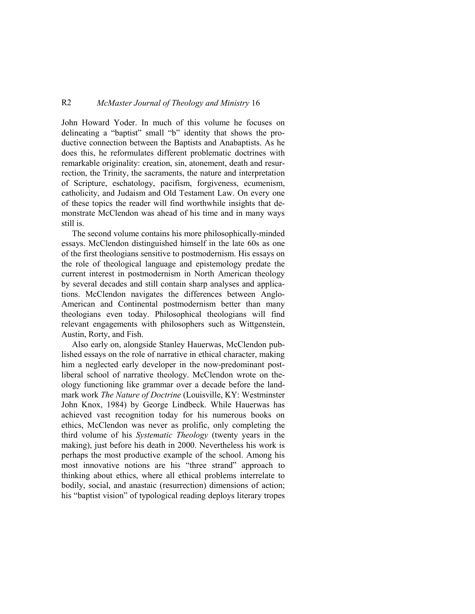## R2 *McMaster Journal of Theology and Ministry* 16

John Howard Yoder. In much of this volume he focuses on delineating a "baptist" small "b" identity that shows the productive connection between the Baptists and Anabaptists. As he does this, he reformulates different problematic doctrines with remarkable originality: creation, sin, atonement, death and resurrection, the Trinity, the sacraments, the nature and interpretation of Scripture, eschatology, pacifism, forgiveness, ecumenism, catholicity, and Judaism and Old Testament Law. On every one of these topics the reader will find worthwhile insights that demonstrate McClendon was ahead of his time and in many ways still is.

The second volume contains his more philosophically-minded essays. McClendon distinguished himself in the late 60s as one of the first theologians sensitive to postmodernism. His essays on the role of theological language and epistemology predate the current interest in postmodernism in North American theology by several decades and still contain sharp analyses and applications. McClendon navigates the differences between Anglo-American and Continental postmodernism better than many theologians even today. Philosophical theologians will find relevant engagements with philosophers such as Wittgenstein, Austin, Rorty, and Fish.

Also early on, alongside Stanley Hauerwas, McClendon published essays on the role of narrative in ethical character, making him a neglected early developer in the now-predominant postliberal school of narrative theology. McClendon wrote on theology functioning like grammar over a decade before the landmark work *The Nature of Doctrine* (Louisville, KY: Westminster John Knox, 1984) by George Lindbeck. While Hauerwas has achieved vast recognition today for his numerous books on ethics, McClendon was never as prolific, only completing the third volume of his *Systematic Theology* (twenty years in the making), just before his death in 2000. Nevertheless his work is perhaps the most productive example of the school. Among his most innovative notions are his "three strand" approach to thinking about ethics, where all ethical problems interrelate to bodily, social, and anastaic (resurrection) dimensions of action; his "baptist vision" of typological reading deploys literary tropes